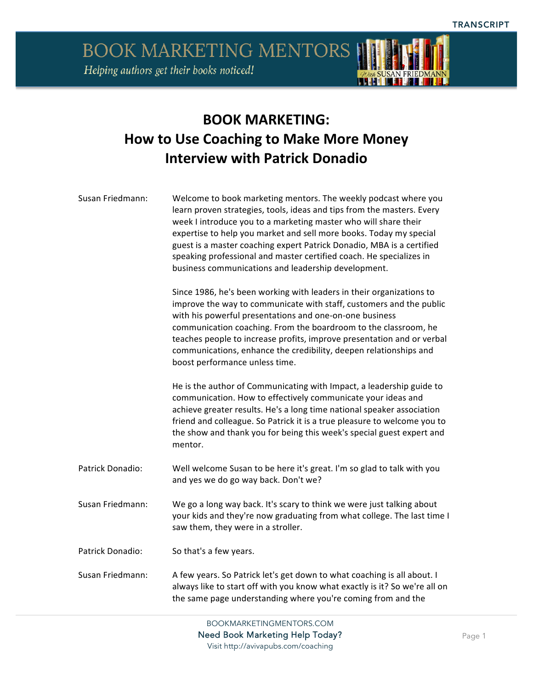

### **BOOK MARKETING: How to Use Coaching to Make More Money Interview with Patrick Donadio**

| Susan Friedmann: | Welcome to book marketing mentors. The weekly podcast where you<br>learn proven strategies, tools, ideas and tips from the masters. Every<br>week I introduce you to a marketing master who will share their<br>expertise to help you market and sell more books. Today my special<br>guest is a master coaching expert Patrick Donadio, MBA is a certified<br>speaking professional and master certified coach. He specializes in<br>business communications and leadership development. |
|------------------|-------------------------------------------------------------------------------------------------------------------------------------------------------------------------------------------------------------------------------------------------------------------------------------------------------------------------------------------------------------------------------------------------------------------------------------------------------------------------------------------|
|                  | Since 1986, he's been working with leaders in their organizations to<br>improve the way to communicate with staff, customers and the public<br>with his powerful presentations and one-on-one business<br>communication coaching. From the boardroom to the classroom, he<br>teaches people to increase profits, improve presentation and or verbal<br>communications, enhance the credibility, deepen relationships and<br>boost performance unless time.                                |
|                  | He is the author of Communicating with Impact, a leadership guide to<br>communication. How to effectively communicate your ideas and<br>achieve greater results. He's a long time national speaker association<br>friend and colleague. So Patrick it is a true pleasure to welcome you to<br>the show and thank you for being this week's special guest expert and<br>mentor.                                                                                                            |
| Patrick Donadio: | Well welcome Susan to be here it's great. I'm so glad to talk with you<br>and yes we do go way back. Don't we?                                                                                                                                                                                                                                                                                                                                                                            |
| Susan Friedmann: | We go a long way back. It's scary to think we were just talking about<br>your kids and they're now graduating from what college. The last time I<br>saw them, they were in a stroller.                                                                                                                                                                                                                                                                                                    |
| Patrick Donadio: | So that's a few years.                                                                                                                                                                                                                                                                                                                                                                                                                                                                    |
| Susan Friedmann: | A few years. So Patrick let's get down to what coaching is all about. I<br>always like to start off with you know what exactly is it? So we're all on<br>the same page understanding where you're coming from and the                                                                                                                                                                                                                                                                     |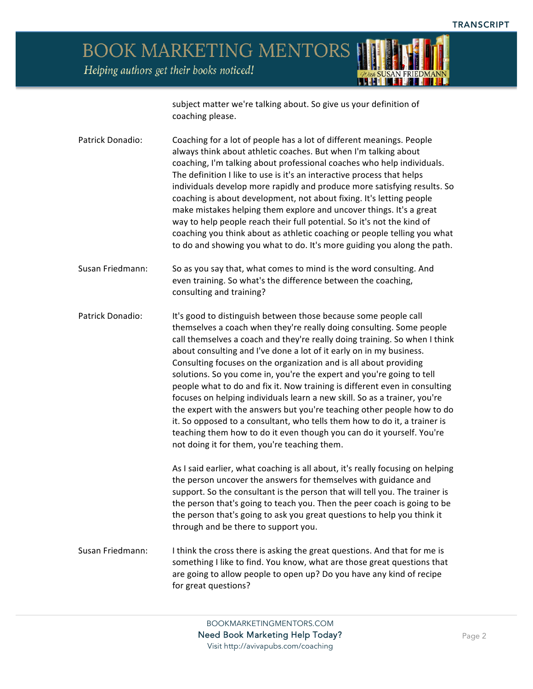

subject matter we're talking about. So give us your definition of coaching please.

Patrick Donadio: Coaching for a lot of people has a lot of different meanings. People always think about athletic coaches. But when I'm talking about coaching, I'm talking about professional coaches who help individuals. The definition I like to use is it's an interactive process that helps individuals develop more rapidly and produce more satisfying results. So coaching is about development, not about fixing. It's letting people make mistakes helping them explore and uncover things. It's a great way to help people reach their full potential. So it's not the kind of coaching you think about as athletic coaching or people telling you what to do and showing you what to do. It's more guiding you along the path.

Susan Friedmann: So as you say that, what comes to mind is the word consulting. And even training. So what's the difference between the coaching, consulting and training?

Patrick Donadio: It's good to distinguish between those because some people call themselves a coach when they're really doing consulting. Some people call themselves a coach and they're really doing training. So when I think about consulting and I've done a lot of it early on in my business. Consulting focuses on the organization and is all about providing solutions. So you come in, you're the expert and you're going to tell people what to do and fix it. Now training is different even in consulting focuses on helping individuals learn a new skill. So as a trainer, you're the expert with the answers but you're teaching other people how to do it. So opposed to a consultant, who tells them how to do it, a trainer is teaching them how to do it even though you can do it yourself. You're not doing it for them, you're teaching them.

> As I said earlier, what coaching is all about, it's really focusing on helping the person uncover the answers for themselves with guidance and support. So the consultant is the person that will tell you. The trainer is the person that's going to teach you. Then the peer coach is going to be the person that's going to ask you great questions to help you think it through and be there to support you.

Susan Friedmann: I think the cross there is asking the great questions. And that for me is something I like to find. You know, what are those great questions that are going to allow people to open up? Do you have any kind of recipe for great questions?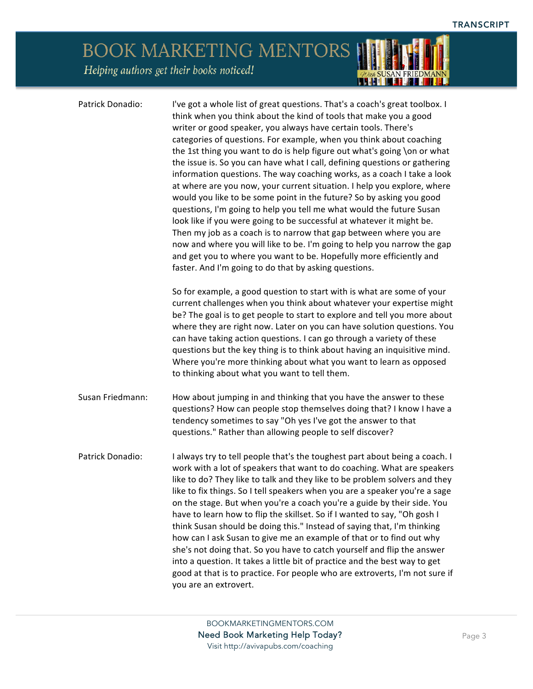### BOOK MARKETING MENTORS Helping authors get their books noticed! *ODEA SUSAN FRIEDMANN*

| Patrick Donadio: | I've got a whole list of great questions. That's a coach's great toolbox. I<br>think when you think about the kind of tools that make you a good<br>writer or good speaker, you always have certain tools. There's<br>categories of questions. For example, when you think about coaching<br>the 1st thing you want to do is help figure out what's going \on or what<br>the issue is. So you can have what I call, defining questions or gathering<br>information questions. The way coaching works, as a coach I take a look<br>at where are you now, your current situation. I help you explore, where<br>would you like to be some point in the future? So by asking you good<br>questions, I'm going to help you tell me what would the future Susan<br>look like if you were going to be successful at whatever it might be.<br>Then my job as a coach is to narrow that gap between where you are<br>now and where you will like to be. I'm going to help you narrow the gap<br>and get you to where you want to be. Hopefully more efficiently and<br>faster. And I'm going to do that by asking questions. |
|------------------|---------------------------------------------------------------------------------------------------------------------------------------------------------------------------------------------------------------------------------------------------------------------------------------------------------------------------------------------------------------------------------------------------------------------------------------------------------------------------------------------------------------------------------------------------------------------------------------------------------------------------------------------------------------------------------------------------------------------------------------------------------------------------------------------------------------------------------------------------------------------------------------------------------------------------------------------------------------------------------------------------------------------------------------------------------------------------------------------------------------------|
|                  | So for example, a good question to start with is what are some of your<br>current challenges when you think about whatever your expertise might<br>be? The goal is to get people to start to explore and tell you more about<br>where they are right now. Later on you can have solution questions. You<br>can have taking action questions. I can go through a variety of these<br>questions but the key thing is to think about having an inquisitive mind.<br>Where you're more thinking about what you want to learn as opposed<br>to thinking about what you want to tell them.                                                                                                                                                                                                                                                                                                                                                                                                                                                                                                                                |
| Susan Friedmann: | How about jumping in and thinking that you have the answer to these<br>questions? How can people stop themselves doing that? I know I have a<br>tendency sometimes to say "Oh yes I've got the answer to that<br>questions." Rather than allowing people to self discover?                                                                                                                                                                                                                                                                                                                                                                                                                                                                                                                                                                                                                                                                                                                                                                                                                                          |
| Patrick Donadio: | I always try to tell people that's the toughest part about being a coach. I<br>work with a lot of speakers that want to do coaching. What are speakers<br>like to do? They like to talk and they like to be problem solvers and they<br>like to fix things. So I tell speakers when you are a speaker you're a sage<br>on the stage. But when you're a coach you're a guide by their side. You<br>have to learn how to flip the skillset. So if I wanted to say, "Oh gosh I<br>think Susan should be doing this." Instead of saying that, I'm thinking<br>how can I ask Susan to give me an example of that or to find out why<br>she's not doing that. So you have to catch yourself and flip the answer<br>into a question. It takes a little bit of practice and the best way to get<br>good at that is to practice. For people who are extroverts, I'm not sure if<br>you are an extrovert.                                                                                                                                                                                                                     |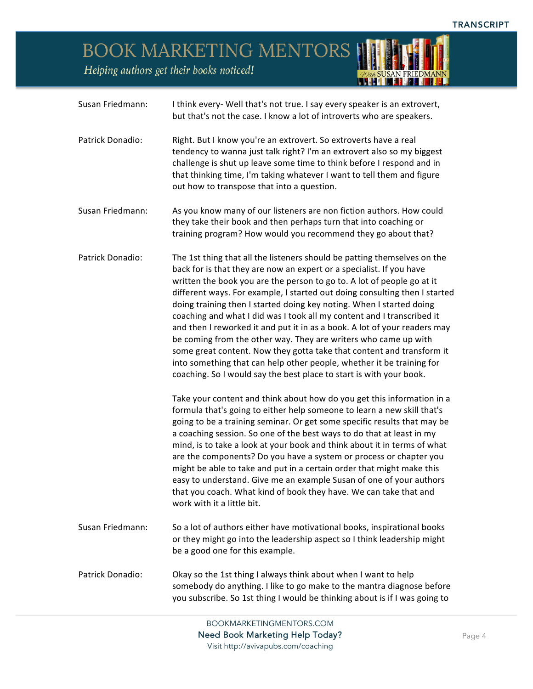*ODEA SUSAN FRIEDMANN* 

# BOOK MARKETING MENTORS

Helping authors get their books noticed!

| Susan Friedmann: | I think every- Well that's not true. I say every speaker is an extrovert,<br>but that's not the case. I know a lot of introverts who are speakers.                                                                                                                                                                                                                                                                                                                                                                                                                                                                                                                                                                                                                                                                                                                                                                                                                                                                                                                                                                                                                                                                                                                                                                                                                                                                                                                                                                                                 |
|------------------|----------------------------------------------------------------------------------------------------------------------------------------------------------------------------------------------------------------------------------------------------------------------------------------------------------------------------------------------------------------------------------------------------------------------------------------------------------------------------------------------------------------------------------------------------------------------------------------------------------------------------------------------------------------------------------------------------------------------------------------------------------------------------------------------------------------------------------------------------------------------------------------------------------------------------------------------------------------------------------------------------------------------------------------------------------------------------------------------------------------------------------------------------------------------------------------------------------------------------------------------------------------------------------------------------------------------------------------------------------------------------------------------------------------------------------------------------------------------------------------------------------------------------------------------------|
| Patrick Donadio: | Right. But I know you're an extrovert. So extroverts have a real<br>tendency to wanna just talk right? I'm an extrovert also so my biggest<br>challenge is shut up leave some time to think before I respond and in<br>that thinking time, I'm taking whatever I want to tell them and figure<br>out how to transpose that into a question.                                                                                                                                                                                                                                                                                                                                                                                                                                                                                                                                                                                                                                                                                                                                                                                                                                                                                                                                                                                                                                                                                                                                                                                                        |
| Susan Friedmann: | As you know many of our listeners are non fiction authors. How could<br>they take their book and then perhaps turn that into coaching or<br>training program? How would you recommend they go about that?                                                                                                                                                                                                                                                                                                                                                                                                                                                                                                                                                                                                                                                                                                                                                                                                                                                                                                                                                                                                                                                                                                                                                                                                                                                                                                                                          |
| Patrick Donadio: | The 1st thing that all the listeners should be patting themselves on the<br>back for is that they are now an expert or a specialist. If you have<br>written the book you are the person to go to. A lot of people go at it<br>different ways. For example, I started out doing consulting then I started<br>doing training then I started doing key noting. When I started doing<br>coaching and what I did was I took all my content and I transcribed it<br>and then I reworked it and put it in as a book. A lot of your readers may<br>be coming from the other way. They are writers who came up with<br>some great content. Now they gotta take that content and transform it<br>into something that can help other people, whether it be training for<br>coaching. So I would say the best place to start is with your book.<br>Take your content and think about how do you get this information in a<br>formula that's going to either help someone to learn a new skill that's<br>going to be a training seminar. Or get some specific results that may be<br>a coaching session. So one of the best ways to do that at least in my<br>mind, is to take a look at your book and think about it in terms of what<br>are the components? Do you have a system or process or chapter you<br>might be able to take and put in a certain order that might make this<br>easy to understand. Give me an example Susan of one of your authors<br>that you coach. What kind of book they have. We can take that and<br>work with it a little bit. |
| Susan Friedmann: | So a lot of authors either have motivational books, inspirational books<br>or they might go into the leadership aspect so I think leadership might<br>be a good one for this example.                                                                                                                                                                                                                                                                                                                                                                                                                                                                                                                                                                                                                                                                                                                                                                                                                                                                                                                                                                                                                                                                                                                                                                                                                                                                                                                                                              |
| Patrick Donadio: | Okay so the 1st thing I always think about when I want to help<br>somebody do anything. I like to go make to the mantra diagnose before<br>you subscribe. So 1st thing I would be thinking about is if I was going to                                                                                                                                                                                                                                                                                                                                                                                                                                                                                                                                                                                                                                                                                                                                                                                                                                                                                                                                                                                                                                                                                                                                                                                                                                                                                                                              |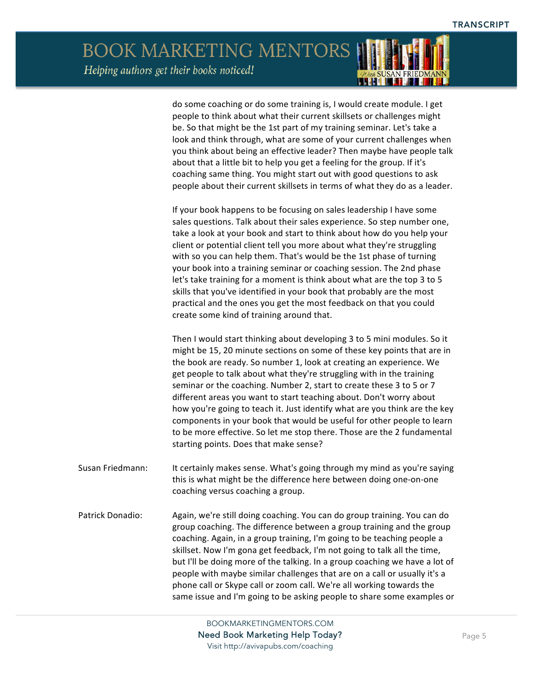#### BOOK MARKETING MENTORS Helping authors get their books noticed! <u> 1941 - 1948 - 1958 - 1958 - 1958 - 1958 - 1958 - 1958 - 1958 - 1958 - 1958 - 1958 - 1958 - 1958 - 1958 - 195</u>

|                  | do some coaching or do some training is, I would create module. I get<br>people to think about what their current skillsets or challenges might<br>be. So that might be the 1st part of my training seminar. Let's take a<br>look and think through, what are some of your current challenges when<br>you think about being an effective leader? Then maybe have people talk<br>about that a little bit to help you get a feeling for the group. If it's<br>coaching same thing. You might start out with good questions to ask<br>people about their current skillsets in terms of what they do as a leader.                                                                                                                  |
|------------------|--------------------------------------------------------------------------------------------------------------------------------------------------------------------------------------------------------------------------------------------------------------------------------------------------------------------------------------------------------------------------------------------------------------------------------------------------------------------------------------------------------------------------------------------------------------------------------------------------------------------------------------------------------------------------------------------------------------------------------|
|                  | If your book happens to be focusing on sales leadership I have some<br>sales questions. Talk about their sales experience. So step number one,<br>take a look at your book and start to think about how do you help your<br>client or potential client tell you more about what they're struggling<br>with so you can help them. That's would be the 1st phase of turning<br>your book into a training seminar or coaching session. The 2nd phase<br>let's take training for a moment is think about what are the top 3 to 5<br>skills that you've identified in your book that probably are the most<br>practical and the ones you get the most feedback on that you could<br>create some kind of training around that.       |
|                  | Then I would start thinking about developing 3 to 5 mini modules. So it<br>might be 15, 20 minute sections on some of these key points that are in<br>the book are ready. So number 1, look at creating an experience. We<br>get people to talk about what they're struggling with in the training<br>seminar or the coaching. Number 2, start to create these 3 to 5 or 7<br>different areas you want to start teaching about. Don't worry about<br>how you're going to teach it. Just identify what are you think are the key<br>components in your book that would be useful for other people to learn<br>to be more effective. So let me stop there. Those are the 2 fundamental<br>starting points. Does that make sense? |
| Susan Friedmann: | It certainly makes sense. What's going through my mind as you're saying<br>this is what might be the difference here between doing one-on-one<br>coaching versus coaching a group.                                                                                                                                                                                                                                                                                                                                                                                                                                                                                                                                             |
| Patrick Donadio: | Again, we're still doing coaching. You can do group training. You can do<br>group coaching. The difference between a group training and the group<br>coaching. Again, in a group training, I'm going to be teaching people a<br>skillset. Now I'm gona get feedback, I'm not going to talk all the time,<br>but I'll be doing more of the talking. In a group coaching we have a lot of<br>people with maybe similar challenges that are on a call or usually it's a<br>phone call or Skype call or zoom call. We're all working towards the<br>same issue and I'm going to be asking people to share some examples or                                                                                                         |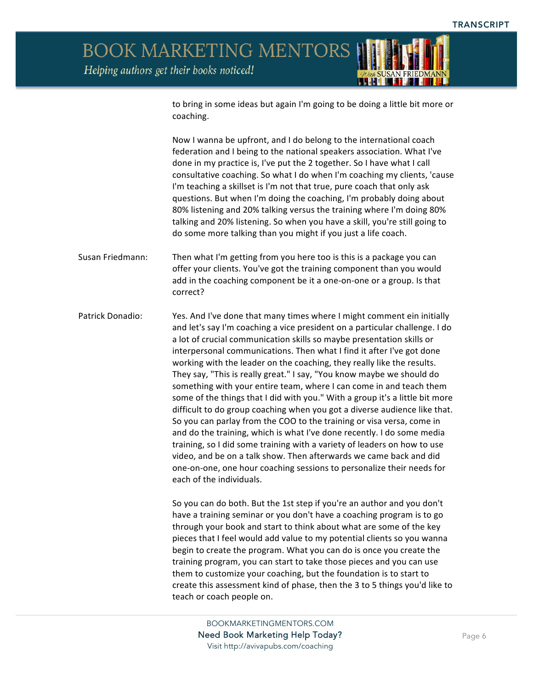

to bring in some ideas but again I'm going to be doing a little bit more or coaching.

Now I wanna be upfront, and I do belong to the international coach federation and I being to the national speakers association. What I've done in my practice is, I've put the 2 together. So I have what I call consultative coaching. So what I do when I'm coaching my clients, 'cause I'm teaching a skillset is I'm not that true, pure coach that only ask questions. But when I'm doing the coaching, I'm probably doing about 80% listening and 20% talking versus the training where I'm doing 80% talking and 20% listening. So when you have a skill, you're still going to do some more talking than you might if you just a life coach.

Susan Friedmann: Then what I'm getting from you here too is this is a package you can offer your clients. You've got the training component than you would add in the coaching component be it a one-on-one or a group. Is that correct?

Patrick Donadio: Yes. And I've done that many times where I might comment ein initially and let's say I'm coaching a vice president on a particular challenge. I do a lot of crucial communication skills so maybe presentation skills or interpersonal communications. Then what I find it after I've got done working with the leader on the coaching, they really like the results. They say, "This is really great." I say, "You know maybe we should do something with your entire team, where I can come in and teach them some of the things that I did with you." With a group it's a little bit more difficult to do group coaching when you got a diverse audience like that. So you can parlay from the COO to the training or visa versa, come in and do the training, which is what I've done recently. I do some media training, so I did some training with a variety of leaders on how to use video, and be on a talk show. Then afterwards we came back and did one-on-one, one hour coaching sessions to personalize their needs for each of the individuals.

> So you can do both. But the 1st step if you're an author and you don't have a training seminar or you don't have a coaching program is to go through your book and start to think about what are some of the key pieces that I feel would add value to my potential clients so you wanna begin to create the program. What you can do is once you create the training program, you can start to take those pieces and you can use them to customize your coaching, but the foundation is to start to create this assessment kind of phase, then the 3 to 5 things you'd like to teach or coach people on.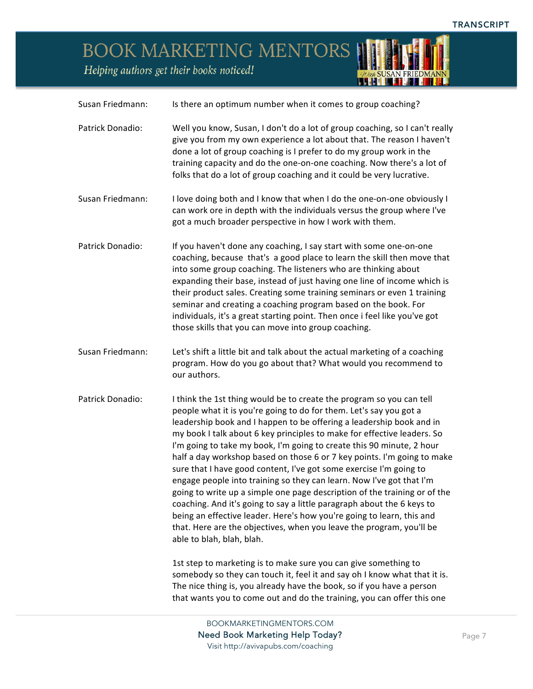## BOOK MARKETING MENTORS

Helping authors get their books noticed!



| Susan Friedmann: | Is there an optimum number when it comes to group coaching?                                                                                                                                                                                                                                                                                                                                                                                                                                                                                                                                                                                                                                                                                                                                                                                                                                                                          |
|------------------|--------------------------------------------------------------------------------------------------------------------------------------------------------------------------------------------------------------------------------------------------------------------------------------------------------------------------------------------------------------------------------------------------------------------------------------------------------------------------------------------------------------------------------------------------------------------------------------------------------------------------------------------------------------------------------------------------------------------------------------------------------------------------------------------------------------------------------------------------------------------------------------------------------------------------------------|
| Patrick Donadio: | Well you know, Susan, I don't do a lot of group coaching, so I can't really<br>give you from my own experience a lot about that. The reason I haven't<br>done a lot of group coaching is I prefer to do my group work in the<br>training capacity and do the one-on-one coaching. Now there's a lot of<br>folks that do a lot of group coaching and it could be very lucrative.                                                                                                                                                                                                                                                                                                                                                                                                                                                                                                                                                      |
| Susan Friedmann: | I love doing both and I know that when I do the one-on-one obviously I<br>can work ore in depth with the individuals versus the group where I've<br>got a much broader perspective in how I work with them.                                                                                                                                                                                                                                                                                                                                                                                                                                                                                                                                                                                                                                                                                                                          |
| Patrick Donadio: | If you haven't done any coaching, I say start with some one-on-one<br>coaching, because that's a good place to learn the skill then move that<br>into some group coaching. The listeners who are thinking about<br>expanding their base, instead of just having one line of income which is<br>their product sales. Creating some training seminars or even 1 training<br>seminar and creating a coaching program based on the book. For<br>individuals, it's a great starting point. Then once i feel like you've got<br>those skills that you can move into group coaching.                                                                                                                                                                                                                                                                                                                                                        |
| Susan Friedmann: | Let's shift a little bit and talk about the actual marketing of a coaching<br>program. How do you go about that? What would you recommend to<br>our authors.                                                                                                                                                                                                                                                                                                                                                                                                                                                                                                                                                                                                                                                                                                                                                                         |
| Patrick Donadio: | I think the 1st thing would be to create the program so you can tell<br>people what it is you're going to do for them. Let's say you got a<br>leadership book and I happen to be offering a leadership book and in<br>my book I talk about 6 key principles to make for effective leaders. So<br>I'm going to take my book, I'm going to create this 90 minute, 2 hour<br>half a day workshop based on those 6 or 7 key points. I'm going to make<br>sure that I have good content, I've got some exercise I'm going to<br>engage people into training so they can learn. Now I've got that I'm<br>going to write up a simple one page description of the training or of the<br>coaching. And it's going to say a little paragraph about the 6 keys to<br>being an effective leader. Here's how you're going to learn, this and<br>that. Here are the objectives, when you leave the program, you'll be<br>able to blah, blah, blah. |
|                  | 1st step to marketing is to make sure you can give something to<br>somebody so they can touch it, feel it and say oh I know what that it is.<br>The nice thing is, you already have the book, so if you have a person<br>that wants you to come out and do the training, you can offer this one                                                                                                                                                                                                                                                                                                                                                                                                                                                                                                                                                                                                                                      |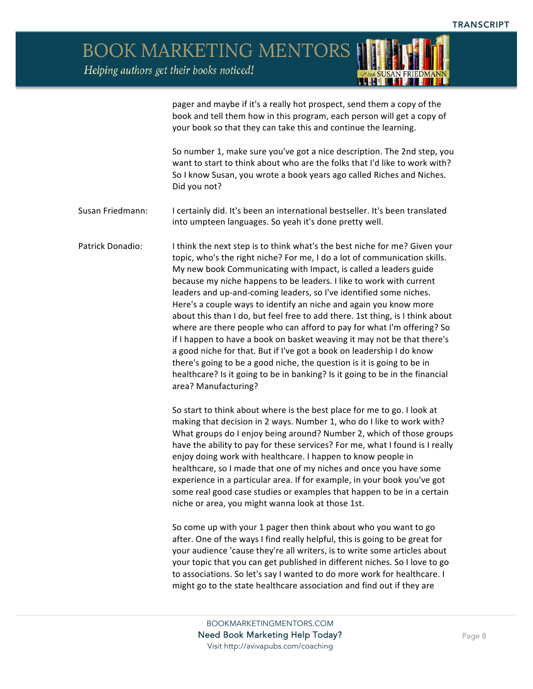

pager and maybe if it's a really hot prospect, send them a copy of the book and tell them how in this program, each person will get a copy of your book so that they can take this and continue the learning.

So number 1, make sure you've got a nice description. The 2nd step, you want to start to think about who are the folks that I'd like to work with? So I know Susan, you wrote a book years ago called Riches and Niches. Did you not?

Susan Friedmann: I certainly did. It's been an international bestseller. It's been translated into umpteen languages. So yeah it's done pretty well.

Patrick Donadio: I think the next step is to think what's the best niche for me? Given your topic, who's the right niche? For me, I do a lot of communication skills. My new book Communicating with Impact, is called a leaders guide because my niche happens to be leaders. I like to work with current leaders and up-and-coming leaders, so I've identified some niches. Here's a couple ways to identify an niche and again you know more about this than I do, but feel free to add there. 1st thing, is I think about where are there people who can afford to pay for what I'm offering? So if I happen to have a book on basket weaving it may not be that there's a good niche for that. But if I've got a book on leadership I do know there's going to be a good niche, the question is it is going to be in healthcare? Is it going to be in banking? Is it going to be in the financial area? Manufacturing? 

> So start to think about where is the best place for me to go. I look at making that decision in 2 ways. Number 1, who do I like to work with? What groups do I enjoy being around? Number 2, which of those groups have the ability to pay for these services? For me, what I found is I really enjoy doing work with healthcare. I happen to know people in healthcare, so I made that one of my niches and once you have some experience in a particular area. If for example, in your book you've got some real good case studies or examples that happen to be in a certain niche or area, you might wanna look at those 1st.

So come up with your 1 pager then think about who you want to go after. One of the ways I find really helpful, this is going to be great for your audience 'cause they're all writers, is to write some articles about your topic that you can get published in different niches. So I love to go to associations. So let's say I wanted to do more work for healthcare. I might go to the state healthcare association and find out if they are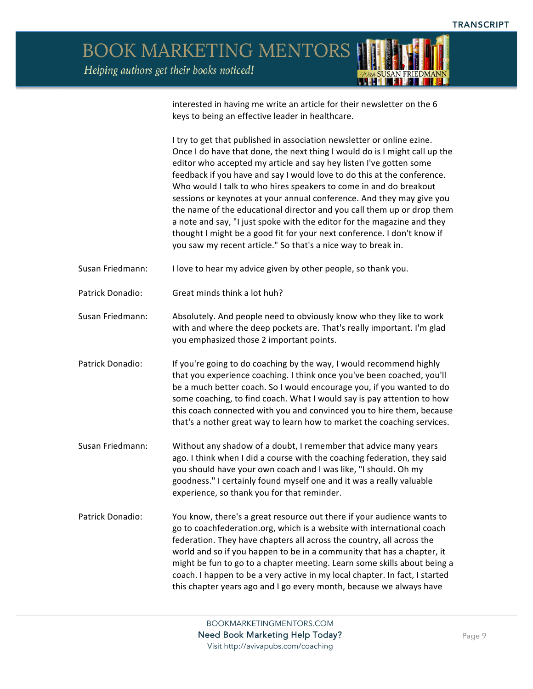

interested in having me write an article for their newsletter on the 6 keys to being an effective leader in healthcare.

I try to get that published in association newsletter or online ezine. Once I do have that done, the next thing I would do is I might call up the editor who accepted my article and say hey listen I've gotten some feedback if you have and say I would love to do this at the conference. Who would I talk to who hires speakers to come in and do breakout sessions or keynotes at your annual conference. And they may give you the name of the educational director and you call them up or drop them a note and say, "I just spoke with the editor for the magazine and they thought I might be a good fit for your next conference. I don't know if you saw my recent article." So that's a nice way to break in.

Susan Friedmann: I love to hear my advice given by other people, so thank you.

Patrick Donadio: Great minds think a lot huh?

Susan Friedmann: Absolutely. And people need to obviously know who they like to work with and where the deep pockets are. That's really important. I'm glad you emphasized those 2 important points.

Patrick Donadio: If you're going to do coaching by the way, I would recommend highly that you experience coaching. I think once you've been coached, you'll be a much better coach. So I would encourage you, if you wanted to do some coaching, to find coach. What I would say is pay attention to how this coach connected with you and convinced you to hire them, because that's a nother great way to learn how to market the coaching services.

Susan Friedmann: Without any shadow of a doubt, I remember that advice many years ago. I think when I did a course with the coaching federation, they said you should have your own coach and I was like, "I should. Oh my goodness." I certainly found myself one and it was a really valuable experience, so thank you for that reminder.

Patrick Donadio: You know, there's a great resource out there if your audience wants to go to coachfederation.org, which is a website with international coach federation. They have chapters all across the country, all across the world and so if you happen to be in a community that has a chapter, it might be fun to go to a chapter meeting. Learn some skills about being a coach. I happen to be a very active in my local chapter. In fact, I started this chapter years ago and I go every month, because we always have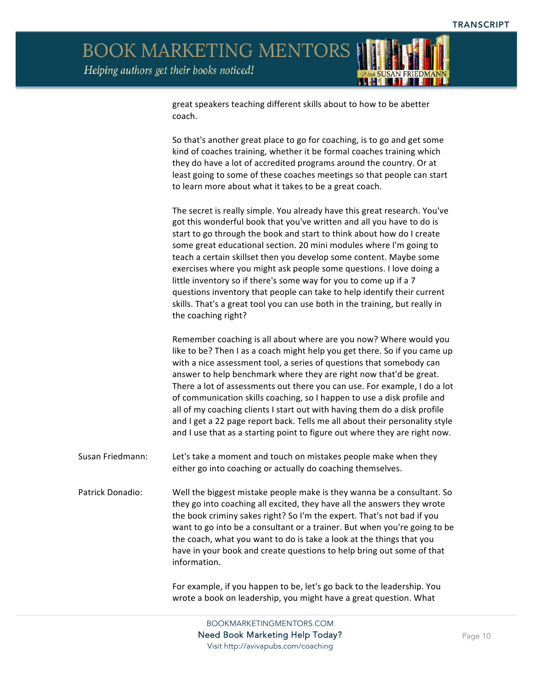

great speakers teaching different skills about to how to be abetter coach. 

So that's another great place to go for coaching, is to go and get some kind of coaches training, whether it be formal coaches training which they do have a lot of accredited programs around the country. Or at least going to some of these coaches meetings so that people can start to learn more about what it takes to be a great coach.

The secret is really simple. You already have this great research. You've got this wonderful book that you've written and all you have to do is start to go through the book and start to think about how do I create some great educational section. 20 mini modules where I'm going to teach a certain skillset then you develop some content. Maybe some exercises where you might ask people some questions. I love doing a little inventory so if there's some way for you to come up if a 7 questions inventory that people can take to help identify their current skills. That's a great tool you can use both in the training, but really in the coaching right?

Remember coaching is all about where are you now? Where would you like to be? Then I as a coach might help you get there. So if you came up with a nice assessment tool, a series of questions that somebody can answer to help benchmark where they are right now that'd be great. There a lot of assessments out there you can use. For example, I do a lot of communication skills coaching, so I happen to use a disk profile and all of my coaching clients I start out with having them do a disk profile and I get a 22 page report back. Tells me all about their personality style and I use that as a starting point to figure out where they are right now.

Susan Friedmann: Let's take a moment and touch on mistakes people make when they either go into coaching or actually do coaching themselves.

Patrick Donadio: Well the biggest mistake people make is they wanna be a consultant. So they go into coaching all excited, they have all the answers they wrote the book criminy sakes right? So I'm the expert. That's not bad if you want to go into be a consultant or a trainer. But when you're going to be the coach, what you want to do is take a look at the things that you have in your book and create questions to help bring out some of that information.

> For example, if you happen to be, let's go back to the leadership. You wrote a book on leadership, you might have a great question. What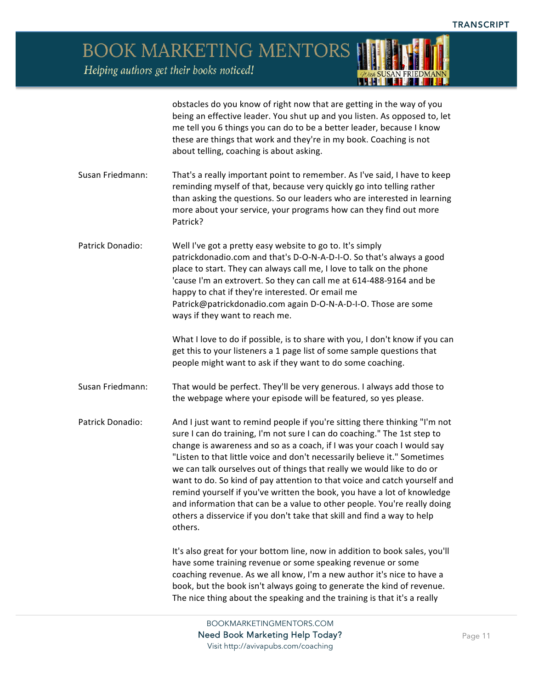<u> 1988 - 1988 - 1988 - 1988 - 1988 - 1988 - 1988 - 1988 - 1988 - 1988 - 1988 - 1988 - 1988 - 1988 - 1988 - 198</u>

BOOK MARKETING MENTORS Helping authors get their books noticed!

|                  | obstacles do you know of right now that are getting in the way of you<br>being an effective leader. You shut up and you listen. As opposed to, let<br>me tell you 6 things you can do to be a better leader, because I know<br>these are things that work and they're in my book. Coaching is not<br>about telling, coaching is about asking.                                                                                                                                                                                                                                                                                                                                                                     |
|------------------|-------------------------------------------------------------------------------------------------------------------------------------------------------------------------------------------------------------------------------------------------------------------------------------------------------------------------------------------------------------------------------------------------------------------------------------------------------------------------------------------------------------------------------------------------------------------------------------------------------------------------------------------------------------------------------------------------------------------|
| Susan Friedmann: | That's a really important point to remember. As I've said, I have to keep<br>reminding myself of that, because very quickly go into telling rather<br>than asking the questions. So our leaders who are interested in learning<br>more about your service, your programs how can they find out more<br>Patrick?                                                                                                                                                                                                                                                                                                                                                                                                   |
| Patrick Donadio: | Well I've got a pretty easy website to go to. It's simply<br>patrickdonadio.com and that's D-O-N-A-D-I-O. So that's always a good<br>place to start. They can always call me, I love to talk on the phone<br>'cause I'm an extrovert. So they can call me at 614-488-9164 and be<br>happy to chat if they're interested. Or email me<br>Patrick@patrickdonadio.com again D-O-N-A-D-I-O. Those are some<br>ways if they want to reach me.                                                                                                                                                                                                                                                                          |
|                  | What I love to do if possible, is to share with you, I don't know if you can<br>get this to your listeners a 1 page list of some sample questions that<br>people might want to ask if they want to do some coaching.                                                                                                                                                                                                                                                                                                                                                                                                                                                                                              |
| Susan Friedmann: | That would be perfect. They'll be very generous. I always add those to<br>the webpage where your episode will be featured, so yes please.                                                                                                                                                                                                                                                                                                                                                                                                                                                                                                                                                                         |
| Patrick Donadio: | And I just want to remind people if you're sitting there thinking "I'm not<br>sure I can do training, I'm not sure I can do coaching." The 1st step to<br>change is awareness and so as a coach, if I was your coach I would say<br>"Listen to that little voice and don't necessarily believe it." Sometimes<br>we can talk ourselves out of things that really we would like to do or<br>want to do. So kind of pay attention to that voice and catch yourself and<br>remind yourself if you've written the book, you have a lot of knowledge<br>and information that can be a value to other people. You're really doing<br>others a disservice if you don't take that skill and find a way to help<br>others. |
|                  | It's also great for your bottom line, now in addition to book sales, you'll<br>have some training revenue or some speaking revenue or some<br>coaching revenue. As we all know, I'm a new author it's nice to have a<br>book, but the book isn't always going to generate the kind of revenue.                                                                                                                                                                                                                                                                                                                                                                                                                    |

The nice thing about the speaking and the training is that it's a really